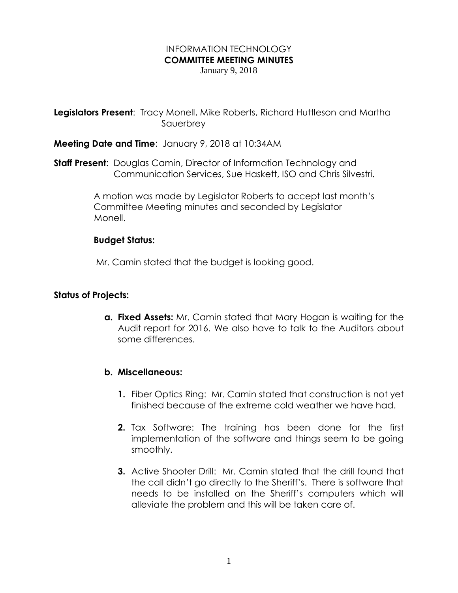# INFORMATION TECHNOLOGY **COMMITTEE MEETING MINUTES**

January 9, 2018

**Legislators Present:** Tracy Monell, Mike Roberts, Richard Huttleson and Martha Sauerbrey

**Meeting Date and Time**: January 9, 2018 at 10:34AM

**Staff Present**: Douglas Camin, Director of Information Technology and Communication Services, Sue Haskett, ISO and Chris Silvestri.

> A motion was made by Legislator Roberts to accept last month's Committee Meeting minutes and seconded by Legislator Monell.

#### **Budget Status:**

Mr. Camin stated that the budget is looking good.

## **Status of Projects:**

**a. Fixed Assets:** Mr. Camin stated that Mary Hogan is waiting for the Audit report for 2016. We also have to talk to the Auditors about some differences.

#### **b. Miscellaneous:**

- **1.** Fiber Optics Ring: Mr. Camin stated that construction is not yet finished because of the extreme cold weather we have had.
- **2.** Tax Software: The training has been done for the first implementation of the software and things seem to be going smoothly.
- **3.** Active Shooter Drill: Mr. Camin stated that the drill found that the call didn't go directly to the Sheriff's. There is software that needs to be installed on the Sheriff's computers which will alleviate the problem and this will be taken care of.